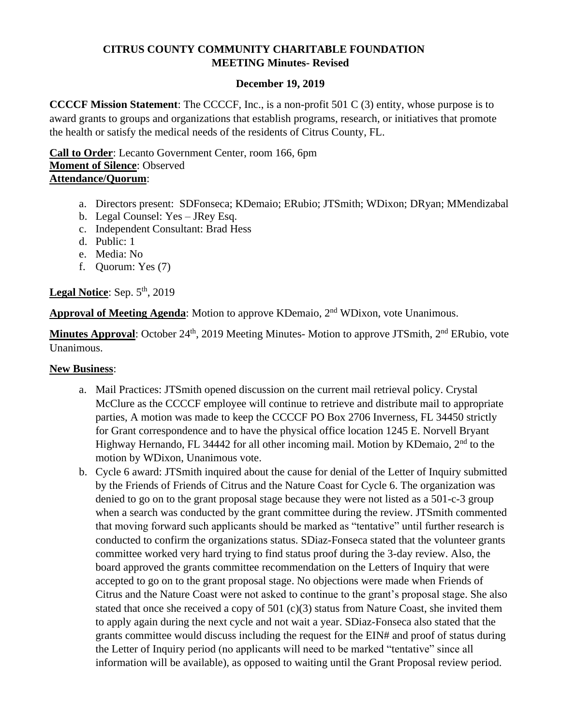### **CITRUS COUNTY COMMUNITY CHARITABLE FOUNDATION MEETING Minutes- Revised**

### **December 19, 2019**

**CCCCF Mission Statement**: The CCCCF, Inc., is a non-profit 501 C (3) entity, whose purpose is to award grants to groups and organizations that establish programs, research, or initiatives that promote the health or satisfy the medical needs of the residents of Citrus County, FL.

**Call to Order**: Lecanto Government Center, room 166, 6pm **Moment of Silence**: Observed **Attendance/Quorum**:

- a. Directors present: SDFonseca; KDemaio; ERubio; JTSmith; WDixon; DRyan; MMendizabal
- b. Legal Counsel: Yes JRey Esq.
- c. Independent Consultant: Brad Hess
- d. Public: 1
- e. Media: No
- f. Quorum: Yes (7)

Legal Notice: Sep. 5<sup>th</sup>, 2019

Approval of Meeting Agenda: Motion to approve KDemaio, 2<sup>nd</sup> WDixon, vote Unanimous.

**Minutes Approval**: October 24<sup>th</sup>, 2019 Meeting Minutes- Motion to approve JTSmith, 2<sup>nd</sup> ERubio, vote Unanimous.

#### **New Business**:

- a. Mail Practices: JTSmith opened discussion on the current mail retrieval policy. Crystal McClure as the CCCCF employee will continue to retrieve and distribute mail to appropriate parties, A motion was made to keep the CCCCF PO Box 2706 Inverness, FL 34450 strictly for Grant correspondence and to have the physical office location 1245 E. Norvell Bryant Highway Hernando, FL 34442 for all other incoming mail. Motion by KDemaio, 2<sup>nd</sup> to the motion by WDixon, Unanimous vote.
- b. Cycle 6 award: JTSmith inquired about the cause for denial of the Letter of Inquiry submitted by the Friends of Friends of Citrus and the Nature Coast for Cycle 6. The organization was denied to go on to the grant proposal stage because they were not listed as a 501-c-3 group when a search was conducted by the grant committee during the review. JTSmith commented that moving forward such applicants should be marked as "tentative" until further research is conducted to confirm the organizations status. SDiaz-Fonseca stated that the volunteer grants committee worked very hard trying to find status proof during the 3-day review. Also, the board approved the grants committee recommendation on the Letters of Inquiry that were accepted to go on to the grant proposal stage. No objections were made when Friends of Citrus and the Nature Coast were not asked to continue to the grant's proposal stage. She also stated that once she received a copy of 501 (c)(3) status from Nature Coast, she invited them to apply again during the next cycle and not wait a year. SDiaz-Fonseca also stated that the grants committee would discuss including the request for the EIN# and proof of status during the Letter of Inquiry period (no applicants will need to be marked "tentative" since all information will be available), as opposed to waiting until the Grant Proposal review period.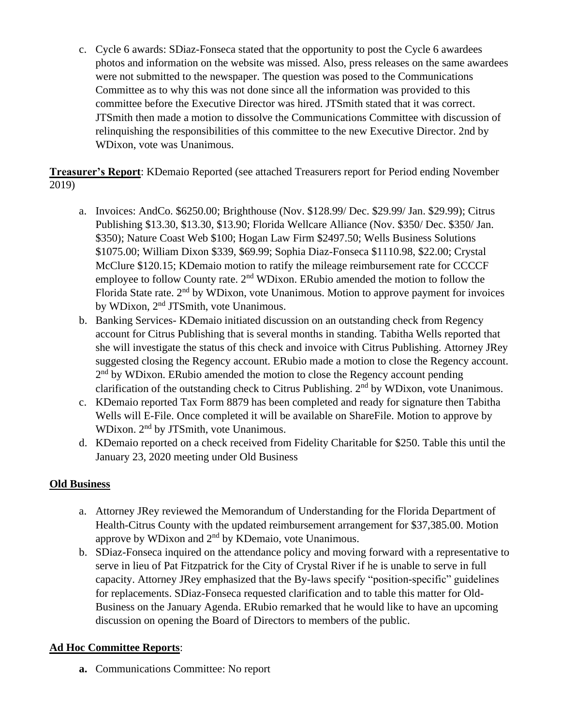c. Cycle 6 awards: SDiaz-Fonseca stated that the opportunity to post the Cycle 6 awardees photos and information on the website was missed. Also, press releases on the same awardees were not submitted to the newspaper. The question was posed to the Communications Committee as to why this was not done since all the information was provided to this committee before the Executive Director was hired. JTSmith stated that it was correct. JTSmith then made a motion to dissolve the Communications Committee with discussion of relinquishing the responsibilities of this committee to the new Executive Director. 2nd by WDixon, vote was Unanimous.

**Treasurer's Report**: KDemaio Reported (see attached Treasurers report for Period ending November 2019)

- a. Invoices: AndCo. \$6250.00; Brighthouse (Nov. \$128.99/ Dec. \$29.99/ Jan. \$29.99); Citrus Publishing \$13.30, \$13.30, \$13.90; Florida Wellcare Alliance (Nov. \$350/ Dec. \$350/ Jan. \$350); Nature Coast Web \$100; Hogan Law Firm \$2497.50; Wells Business Solutions \$1075.00; William Dixon \$339, \$69.99; Sophia Diaz-Fonseca \$1110.98, \$22.00; Crystal McClure \$120.15; KDemaio motion to ratify the mileage reimbursement rate for CCCCF employee to follow County rate.  $2<sup>nd</sup>$  WDixon. ERubio amended the motion to follow the Florida State rate. 2<sup>nd</sup> by WDixon, vote Unanimous. Motion to approve payment for invoices by WDixon, 2<sup>nd</sup> JTSmith, vote Unanimous.
- b. Banking Services- KDemaio initiated discussion on an outstanding check from Regency account for Citrus Publishing that is several months in standing. Tabitha Wells reported that she will investigate the status of this check and invoice with Citrus Publishing. Attorney JRey suggested closing the Regency account. ERubio made a motion to close the Regency account. 2<sup>nd</sup> by WDixon. ERubio amended the motion to close the Regency account pending clarification of the outstanding check to Citrus Publishing.  $2<sup>nd</sup>$  by WDixon, vote Unanimous.
- c. KDemaio reported Tax Form 8879 has been completed and ready for signature then Tabitha Wells will E-File. Once completed it will be available on ShareFile. Motion to approve by WDixon. 2<sup>nd</sup> by JTSmith, vote Unanimous.
- d. KDemaio reported on a check received from Fidelity Charitable for \$250. Table this until the January 23, 2020 meeting under Old Business

## **Old Business**

- a. Attorney JRey reviewed the Memorandum of Understanding for the Florida Department of Health-Citrus County with the updated reimbursement arrangement for \$37,385.00. Motion approve by WDixon and 2<sup>nd</sup> by KDemaio, vote Unanimous.
- b. SDiaz-Fonseca inquired on the attendance policy and moving forward with a representative to serve in lieu of Pat Fitzpatrick for the City of Crystal River if he is unable to serve in full capacity. Attorney JRey emphasized that the By-laws specify "position-specific" guidelines for replacements. SDiaz-Fonseca requested clarification and to table this matter for Old-Business on the January Agenda. ERubio remarked that he would like to have an upcoming discussion on opening the Board of Directors to members of the public.

# **Ad Hoc Committee Reports**:

**a.** Communications Committee: No report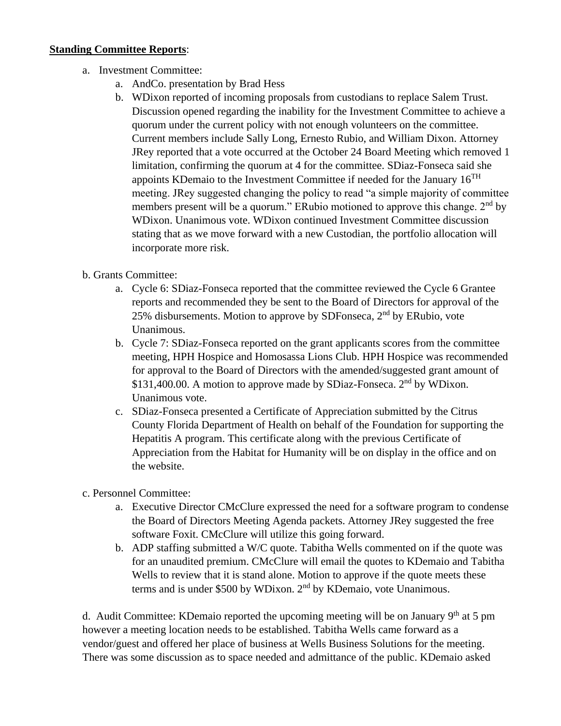### **Standing Committee Reports**:

- a. Investment Committee:
	- a. AndCo. presentation by Brad Hess
	- b. WDixon reported of incoming proposals from custodians to replace Salem Trust. Discussion opened regarding the inability for the Investment Committee to achieve a quorum under the current policy with not enough volunteers on the committee. Current members include Sally Long, Ernesto Rubio, and William Dixon. Attorney JRey reported that a vote occurred at the October 24 Board Meeting which removed 1 limitation, confirming the quorum at 4 for the committee. SDiaz-Fonseca said she appoints KDemaio to the Investment Committee if needed for the January 16<sup>TH</sup> meeting. JRey suggested changing the policy to read "a simple majority of committee members present will be a quorum." ERubio motioned to approve this change.  $2<sup>nd</sup>$  by WDixon. Unanimous vote. WDixon continued Investment Committee discussion stating that as we move forward with a new Custodian, the portfolio allocation will incorporate more risk.
- b. Grants Committee:
	- a. Cycle 6: SDiaz-Fonseca reported that the committee reviewed the Cycle 6 Grantee reports and recommended they be sent to the Board of Directors for approval of the 25% disbursements. Motion to approve by SDFonseca,  $2<sup>nd</sup>$  by ERubio, vote Unanimous.
	- b. Cycle 7: SDiaz-Fonseca reported on the grant applicants scores from the committee meeting, HPH Hospice and Homosassa Lions Club. HPH Hospice was recommended for approval to the Board of Directors with the amended/suggested grant amount of \$131,400.00. A motion to approve made by SDiaz-Fonseca. 2<sup>nd</sup> by WDixon. Unanimous vote.
	- c. SDiaz-Fonseca presented a Certificate of Appreciation submitted by the Citrus County Florida Department of Health on behalf of the Foundation for supporting the Hepatitis A program. This certificate along with the previous Certificate of Appreciation from the Habitat for Humanity will be on display in the office and on the website.
- c. Personnel Committee:
	- a. Executive Director CMcClure expressed the need for a software program to condense the Board of Directors Meeting Agenda packets. Attorney JRey suggested the free software Foxit. CMcClure will utilize this going forward.
	- b. ADP staffing submitted a W/C quote. Tabitha Wells commented on if the quote was for an unaudited premium. CMcClure will email the quotes to KDemaio and Tabitha Wells to review that it is stand alone. Motion to approve if the quote meets these terms and is under \$500 by WDixon. 2<sup>nd</sup> by KDemaio, vote Unanimous.

d. Audit Committee: KDemaio reported the upcoming meeting will be on January  $9<sup>th</sup>$  at 5 pm however a meeting location needs to be established. Tabitha Wells came forward as a vendor/guest and offered her place of business at Wells Business Solutions for the meeting. There was some discussion as to space needed and admittance of the public. KDemaio asked